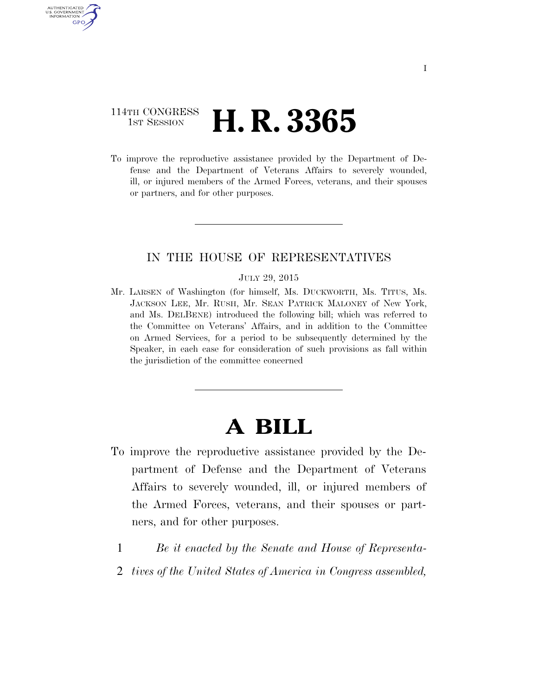### 114TH CONGRESS **1ST SESSION <b>H. R. 3365**

AUTHENTICATED U.S. GOVERNMENT GPO

> To improve the reproductive assistance provided by the Department of Defense and the Department of Veterans Affairs to severely wounded, ill, or injured members of the Armed Forces, veterans, and their spouses or partners, and for other purposes.

### IN THE HOUSE OF REPRESENTATIVES

#### JULY 29, 2015

Mr. LARSEN of Washington (for himself, Ms. DUCKWORTH, Ms. TITUS, Ms. JACKSON LEE, Mr. RUSH, Mr. SEAN PATRICK MALONEY of New York, and Ms. DELBENE) introduced the following bill; which was referred to the Committee on Veterans' Affairs, and in addition to the Committee on Armed Services, for a period to be subsequently determined by the Speaker, in each case for consideration of such provisions as fall within the jurisdiction of the committee concerned

# **A BILL**

- To improve the reproductive assistance provided by the Department of Defense and the Department of Veterans Affairs to severely wounded, ill, or injured members of the Armed Forces, veterans, and their spouses or partners, and for other purposes.
	- 1 *Be it enacted by the Senate and House of Representa-*
	- 2 *tives of the United States of America in Congress assembled,*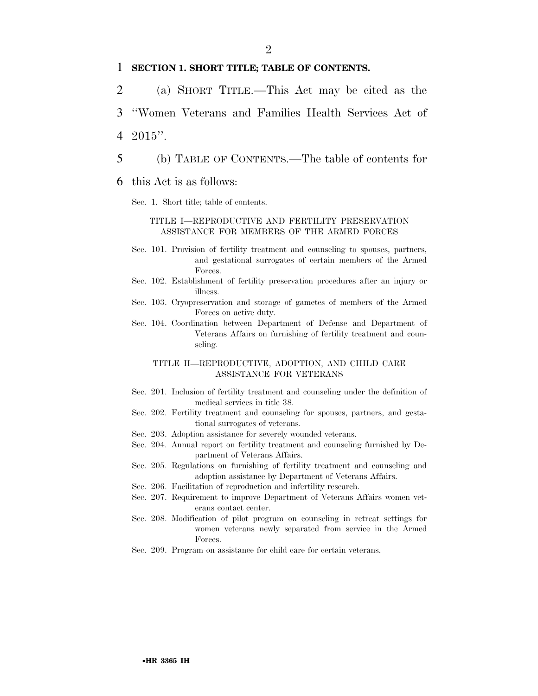### 1 **SECTION 1. SHORT TITLE; TABLE OF CONTENTS.**

- 2 (a) SHORT TITLE.—This Act may be cited as the
- 3 ''Women Veterans and Families Health Services Act of 4 2015''.
- 5 (b) TABLE OF CONTENTS.—The table of contents for

#### 6 this Act is as follows:

Sec. 1. Short title; table of contents.

#### TITLE I—REPRODUCTIVE AND FERTILITY PRESERVATION ASSISTANCE FOR MEMBERS OF THE ARMED FORCES

- Sec. 101. Provision of fertility treatment and counseling to spouses, partners, and gestational surrogates of certain members of the Armed Forces.
- Sec. 102. Establishment of fertility preservation procedures after an injury or illness.
- Sec. 103. Cryopreservation and storage of gametes of members of the Armed Forces on active duty.
- Sec. 104. Coordination between Department of Defense and Department of Veterans Affairs on furnishing of fertility treatment and counseling.

#### TITLE II—REPRODUCTIVE, ADOPTION, AND CHILD CARE ASSISTANCE FOR VETERANS

- Sec. 201. Inclusion of fertility treatment and counseling under the definition of medical services in title 38.
- Sec. 202. Fertility treatment and counseling for spouses, partners, and gestational surrogates of veterans.
- Sec. 203. Adoption assistance for severely wounded veterans.
- Sec. 204. Annual report on fertility treatment and counseling furnished by Department of Veterans Affairs.
- Sec. 205. Regulations on furnishing of fertility treatment and counseling and adoption assistance by Department of Veterans Affairs.
- Sec. 206. Facilitation of reproduction and infertility research.
- Sec. 207. Requirement to improve Department of Veterans Affairs women veterans contact center.
- Sec. 208. Modification of pilot program on counseling in retreat settings for women veterans newly separated from service in the Armed Forces.
- Sec. 209. Program on assistance for child care for certain veterans.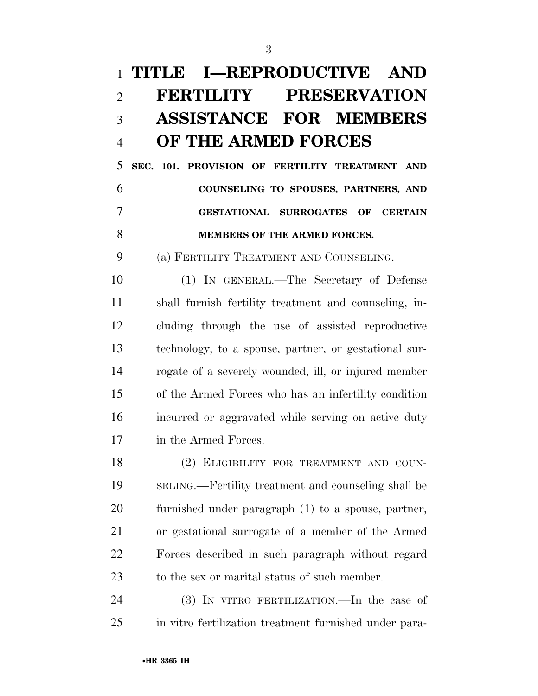# **TITLE I—REPRODUCTIVE AND FERTILITY PRESERVATION ASSISTANCE FOR MEMBERS OF THE ARMED FORCES**

 **SEC. 101. PROVISION OF FERTILITY TREATMENT AND COUNSELING TO SPOUSES, PARTNERS, AND GESTATIONAL SURROGATES OF CERTAIN MEMBERS OF THE ARMED FORCES.** 

(a) FERTILITY TREATMENT AND COUNSELING.—

 (1) IN GENERAL.—The Secretary of Defense shall furnish fertility treatment and counseling, in- cluding through the use of assisted reproductive technology, to a spouse, partner, or gestational sur- rogate of a severely wounded, ill, or injured member of the Armed Forces who has an infertility condition incurred or aggravated while serving on active duty in the Armed Forces.

18 (2) ELIGIBILITY FOR TREATMENT AND COUN- SELING.—Fertility treatment and counseling shall be furnished under paragraph (1) to a spouse, partner, or gestational surrogate of a member of the Armed Forces described in such paragraph without regard to the sex or marital status of such member.

 (3) IN VITRO FERTILIZATION.—In the case of in vitro fertilization treatment furnished under para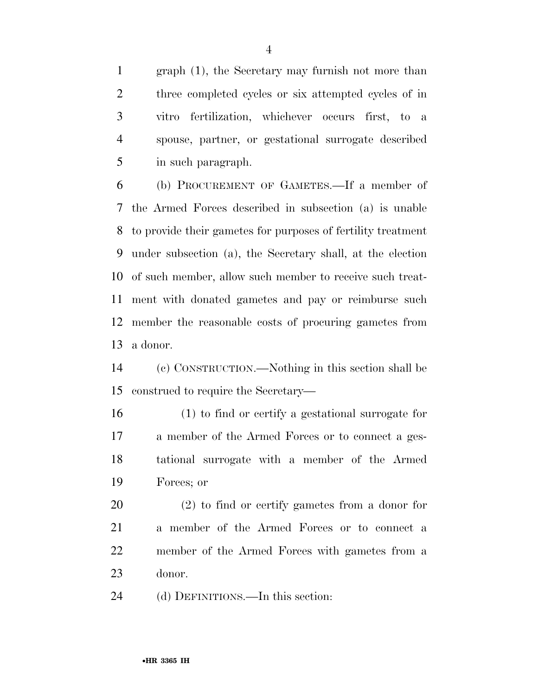graph (1), the Secretary may furnish not more than three completed cycles or six attempted cycles of in vitro fertilization, whichever occurs first, to a spouse, partner, or gestational surrogate described in such paragraph.

 (b) PROCUREMENT OF GAMETES.—If a member of the Armed Forces described in subsection (a) is unable to provide their gametes for purposes of fertility treatment under subsection (a), the Secretary shall, at the election of such member, allow such member to receive such treat- ment with donated gametes and pay or reimburse such member the reasonable costs of procuring gametes from a donor.

 (c) CONSTRUCTION.—Nothing in this section shall be construed to require the Secretary—

 (1) to find or certify a gestational surrogate for a member of the Armed Forces or to connect a ges- tational surrogate with a member of the Armed Forces; or

 (2) to find or certify gametes from a donor for a member of the Armed Forces or to connect a member of the Armed Forces with gametes from a donor.

(d) DEFINITIONS.—In this section: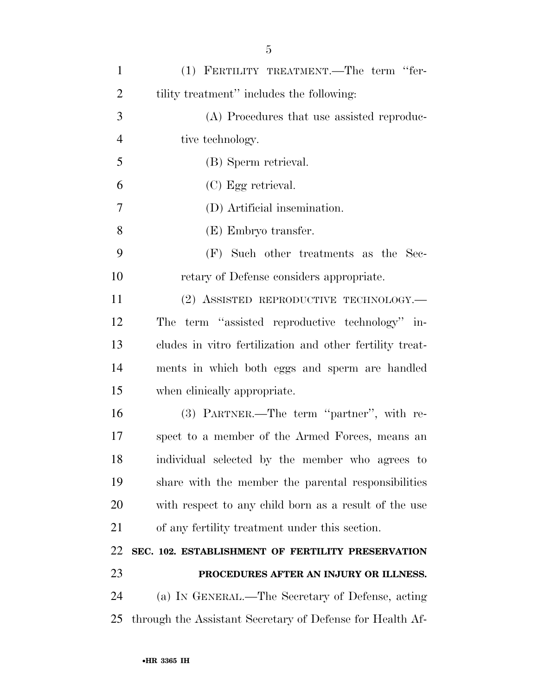| $\mathbf{1}$   | (1) FERTILITY TREATMENT.—The term "fer-                   |
|----------------|-----------------------------------------------------------|
| $\overline{2}$ | tility treatment" includes the following:                 |
| 3              | (A) Procedures that use assisted reproduc-                |
| $\overline{4}$ | tive technology.                                          |
| 5              | (B) Sperm retrieval.                                      |
| 6              | (C) Egg retrieval.                                        |
| 7              | (D) Artificial insemination.                              |
| 8              | (E) Embryo transfer.                                      |
| 9              | (F) Such other treatments as the Sec-                     |
| 10             | retary of Defense considers appropriate.                  |
| 11             | (2) ASSISTED REPRODUCTIVE TECHNOLOGY.—                    |
| 12             | The term "assisted reproductive technology" in-           |
| 13             | cludes in vitro fertilization and other fertility treat-  |
| 14             | ments in which both eggs and sperm are handled            |
| 15             | when clinically appropriate.                              |
| 16             | (3) PARTNER.—The term "partner", with re-                 |
| 17             | spect to a member of the Armed Forces, means an           |
| 18             | individual selected by the member who agrees to           |
| 19             | share with the member the parental responsibilities       |
| 20             | with respect to any child born as a result of the use     |
| 21             | of any fertility treatment under this section.            |
| 22             | SEC. 102. ESTABLISHMENT OF FERTILITY PRESERVATION         |
| 23             | PROCEDURES AFTER AN INJURY OR ILLNESS.                    |
| 24             | (a) IN GENERAL.—The Secretary of Defense, acting          |
| 25             | through the Assistant Secretary of Defense for Health Af- |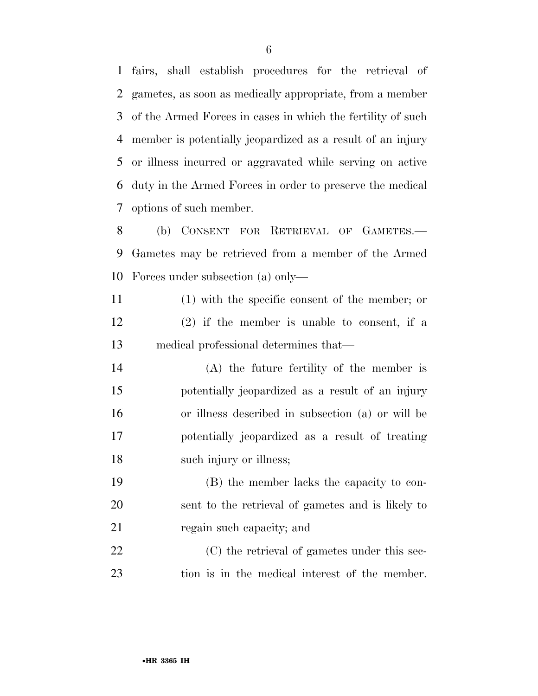fairs, shall establish procedures for the retrieval of gametes, as soon as medically appropriate, from a member of the Armed Forces in cases in which the fertility of such member is potentially jeopardized as a result of an injury or illness incurred or aggravated while serving on active duty in the Armed Forces in order to preserve the medical options of such member.

 (b) CONSENT FOR RETRIEVAL OF GAMETES.— Gametes may be retrieved from a member of the Armed Forces under subsection (a) only—

- (1) with the specific consent of the member; or (2) if the member is unable to consent, if a medical professional determines that—
- (A) the future fertility of the member is potentially jeopardized as a result of an injury or illness described in subsection (a) or will be potentially jeopardized as a result of treating 18 such injury or illness;
- (B) the member lacks the capacity to con- sent to the retrieval of gametes and is likely to 21 regain such capacity; and

22 (C) the retrieval of gametes under this sec-tion is in the medical interest of the member.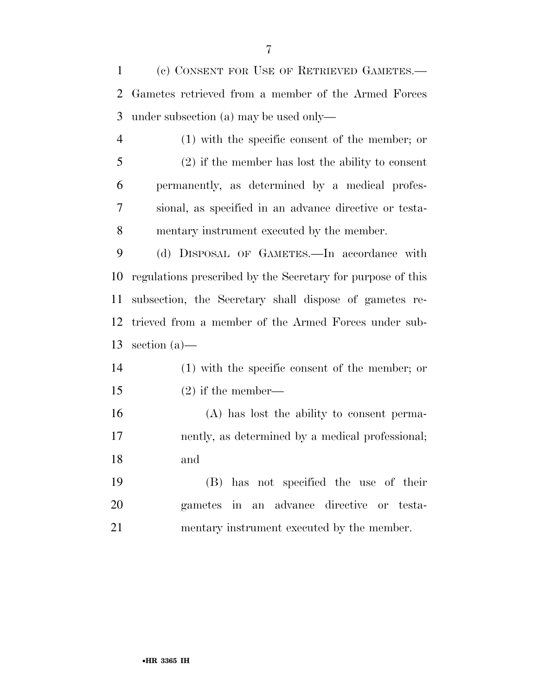(c) CONSENT FOR USE OF RETRIEVED GAMETES.— Gametes retrieved from a member of the Armed Forces under subsection (a) may be used only—

 (1) with the specific consent of the member; or (2) if the member has lost the ability to consent permanently, as determined by a medical profes- sional, as specified in an advance directive or testa-mentary instrument executed by the member.

 (d) DISPOSAL OF GAMETES.—In accordance with regulations prescribed by the Secretary for purpose of this subsection, the Secretary shall dispose of gametes re- trieved from a member of the Armed Forces under sub-section (a)—

- (1) with the specific consent of the member; or (2) if the member—
- (A) has lost the ability to consent perma- nently, as determined by a medical professional; and
- (B) has not specified the use of their gametes in an advance directive or testa-mentary instrument executed by the member.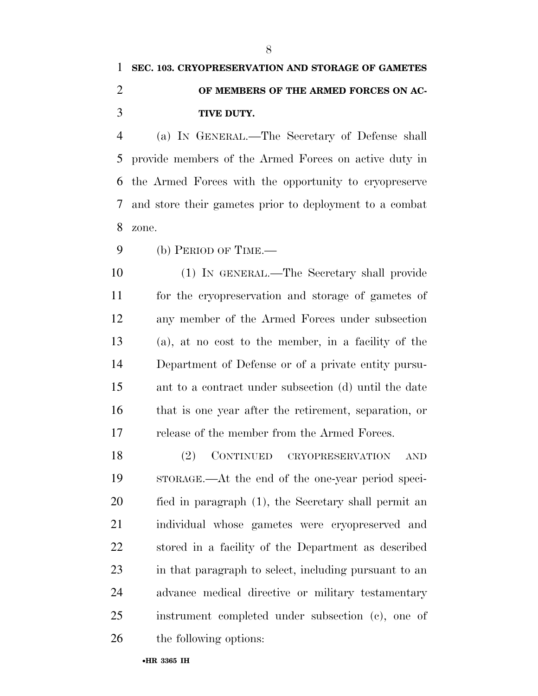## **SEC. 103. CRYOPRESERVATION AND STORAGE OF GAMETES OF MEMBERS OF THE ARMED FORCES ON AC-TIVE DUTY.**

 (a) IN GENERAL.—The Secretary of Defense shall provide members of the Armed Forces on active duty in the Armed Forces with the opportunity to cryopreserve and store their gametes prior to deployment to a combat zone.

(b) PERIOD OF TIME.—

 (1) IN GENERAL.—The Secretary shall provide for the cryopreservation and storage of gametes of any member of the Armed Forces under subsection (a), at no cost to the member, in a facility of the Department of Defense or of a private entity pursu- ant to a contract under subsection (d) until the date that is one year after the retirement, separation, or release of the member from the Armed Forces.

 (2) CONTINUED CRYOPRESERVATION AND STORAGE.—At the end of the one-year period speci- fied in paragraph (1), the Secretary shall permit an individual whose gametes were cryopreserved and stored in a facility of the Department as described in that paragraph to select, including pursuant to an advance medical directive or military testamentary instrument completed under subsection (c), one of the following options: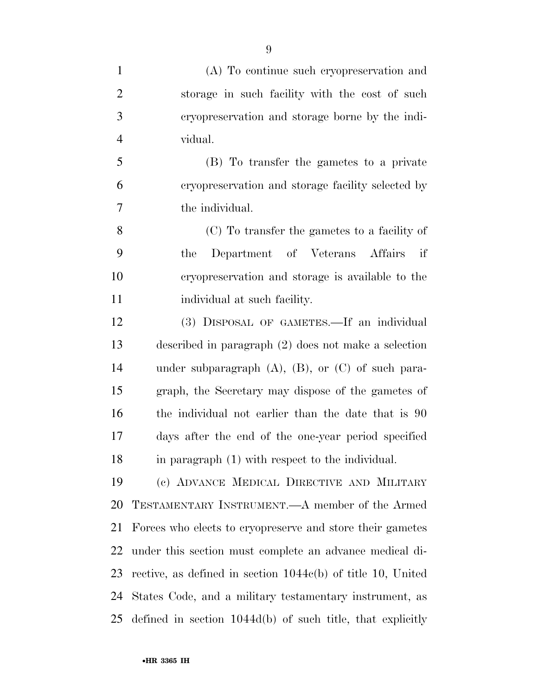| $\mathbf{1}$   | (A) To continue such cryopreservation and                     |
|----------------|---------------------------------------------------------------|
| $\overline{2}$ | storage in such facility with the cost of such                |
| 3              | eryopreservation and storage borne by the indi-               |
| $\overline{4}$ | vidual.                                                       |
| 5              | (B) To transfer the gametes to a private                      |
| 6              | cryopreservation and storage facility selected by             |
| $\overline{7}$ | the individual.                                               |
| 8              | (C) To transfer the gametes to a facility of                  |
| 9              | Department of Veterans Affairs<br>if<br>the                   |
| 10             | cryopreservation and storage is available to the              |
| 11             | individual at such facility.                                  |
| 12             | (3) DISPOSAL OF GAMETES.—If an individual                     |
| 13             | described in paragraph $(2)$ does not make a selection        |
| 14             | under subparagraph $(A)$ , $(B)$ , or $(C)$ of such para-     |
| 15             | graph, the Secretary may dispose of the gametes of            |
| 16             | the individual not earlier than the date that is 90           |
| 17             | days after the end of the one-year period specified           |
| 18             | in paragraph (1) with respect to the individual.              |
| 19             | (c) ADVANCE MEDICAL DIRECTIVE AND MILITARY                    |
| 20             | TESTAMENTARY INSTRUMENT.—A member of the Armed                |
| 21             | Forces who elects to cryopreserve and store their gametes     |
| 22             | under this section must complete an advance medical di-       |
| 23             | rective, as defined in section $1044c(b)$ of title 10, United |
| 24             | States Code, and a military testamentary instrument, as       |
| 25             | defined in section $1044d(b)$ of such title, that explicitly  |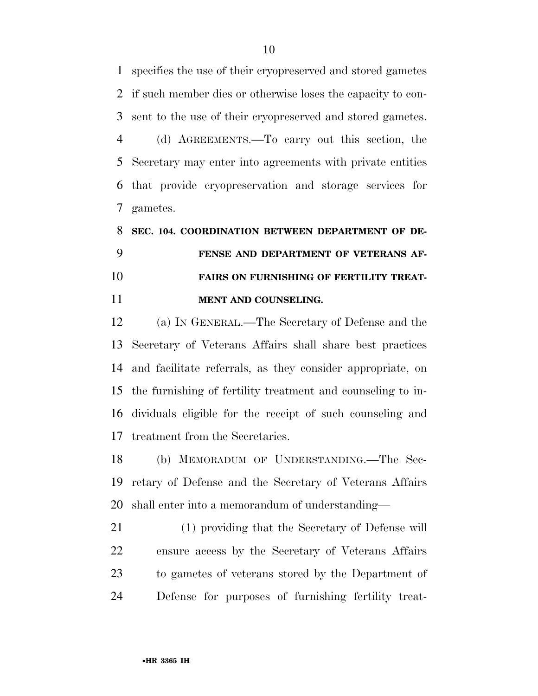specifies the use of their cryopreserved and stored gametes if such member dies or otherwise loses the capacity to con-sent to the use of their cryopreserved and stored gametes.

 (d) AGREEMENTS.—To carry out this section, the Secretary may enter into agreements with private entities that provide cryopreservation and storage services for gametes.

# **SEC. 104. COORDINATION BETWEEN DEPARTMENT OF DE- FENSE AND DEPARTMENT OF VETERANS AF- FAIRS ON FURNISHING OF FERTILITY TREAT-MENT AND COUNSELING.**

 (a) IN GENERAL.—The Secretary of Defense and the Secretary of Veterans Affairs shall share best practices and facilitate referrals, as they consider appropriate, on the furnishing of fertility treatment and counseling to in- dividuals eligible for the receipt of such counseling and treatment from the Secretaries.

 (b) MEMORADUM OF UNDERSTANDING.—The Sec- retary of Defense and the Secretary of Veterans Affairs shall enter into a memorandum of understanding—

 (1) providing that the Secretary of Defense will ensure access by the Secretary of Veterans Affairs to gametes of veterans stored by the Department of Defense for purposes of furnishing fertility treat-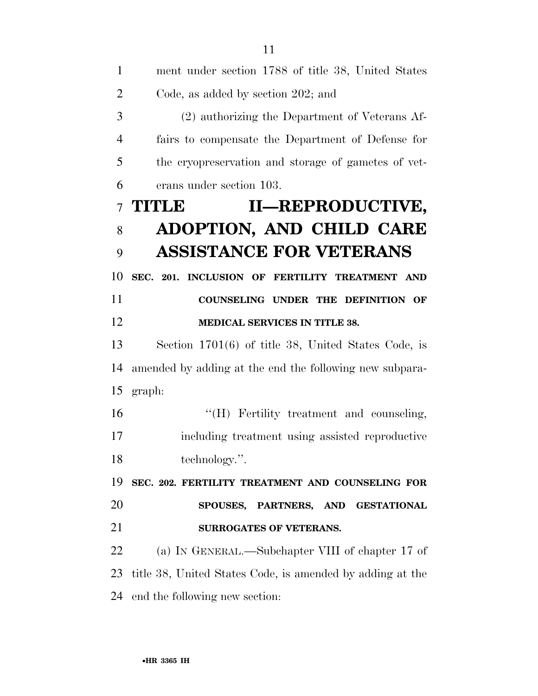| $\mathbf{1}$   | ment under section 1788 of title 38, United States        |
|----------------|-----------------------------------------------------------|
| $\overline{2}$ | Code, as added by section 202; and                        |
| 3              | (2) authorizing the Department of Veterans Af-            |
| $\overline{4}$ | fairs to compensate the Department of Defense for         |
| 5              | the cryopreservation and storage of gametes of vet-       |
| 6              | erans under section 103.                                  |
| $\overline{7}$ | II-REPRODUCTIVE,<br><b>TITLE</b>                          |
| 8              | ADOPTION, AND CHILD CARE                                  |
| 9              | <b>ASSISTANCE FOR VETERANS</b>                            |
| 10             | SEC. 201. INCLUSION OF FERTILITY TREATMENT AND            |
| 11             | COUNSELING UNDER THE DEFINITION OF                        |
| 12             | MEDICAL SERVICES IN TITLE 38.                             |
| 13             | Section $1701(6)$ of title 38, United States Code, is     |
| 14             | amended by adding at the end the following new subpara-   |
| 15             | graph:                                                    |
| 16             | "(H) Fertility treatment and counseling,                  |
| 17             | including treatment using assisted reproductive           |
| 18             | technology.".                                             |
| 19             | SEC. 202. FERTILITY TREATMENT AND COUNSELING FOR          |
| 20             | SPOUSES, PARTNERS, AND GESTATIONAL                        |
| 21             | <b>SURROGATES OF VETERANS.</b>                            |
| 22             | (a) IN GENERAL.—Subchapter VIII of chapter 17 of          |
| 23             | title 38, United States Code, is amended by adding at the |
| 24             | end the following new section:                            |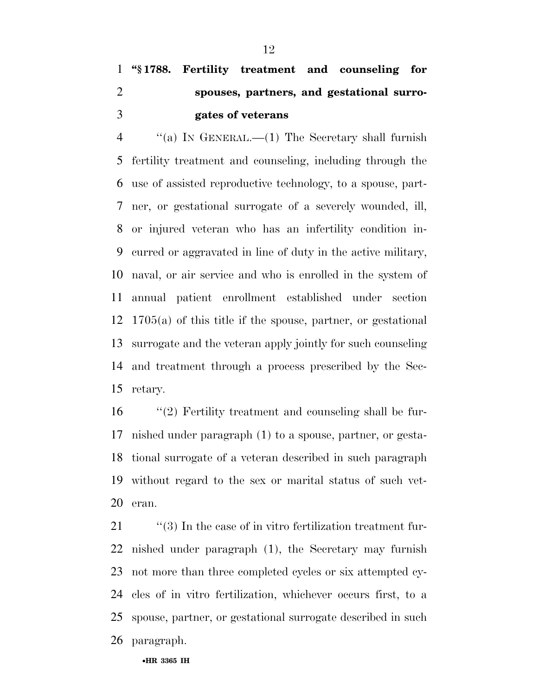# **''§ 1788. Fertility treatment and counseling for spouses, partners, and gestational surro-gates of veterans**

 ''(a) IN GENERAL.—(1) The Secretary shall furnish fertility treatment and counseling, including through the use of assisted reproductive technology, to a spouse, part- ner, or gestational surrogate of a severely wounded, ill, or injured veteran who has an infertility condition in- curred or aggravated in line of duty in the active military, naval, or air service and who is enrolled in the system of annual patient enrollment established under section 1705(a) of this title if the spouse, partner, or gestational surrogate and the veteran apply jointly for such counseling and treatment through a process prescribed by the Sec-retary.

 ''(2) Fertility treatment and counseling shall be fur- nished under paragraph (1) to a spouse, partner, or gesta- tional surrogate of a veteran described in such paragraph without regard to the sex or marital status of such vet-eran.

 $\frac{1}{2}$  (3) In the case of in vitro fertilization treatment fur- nished under paragraph (1), the Secretary may furnish not more than three completed cycles or six attempted cy- cles of in vitro fertilization, whichever occurs first, to a spouse, partner, or gestational surrogate described in such paragraph.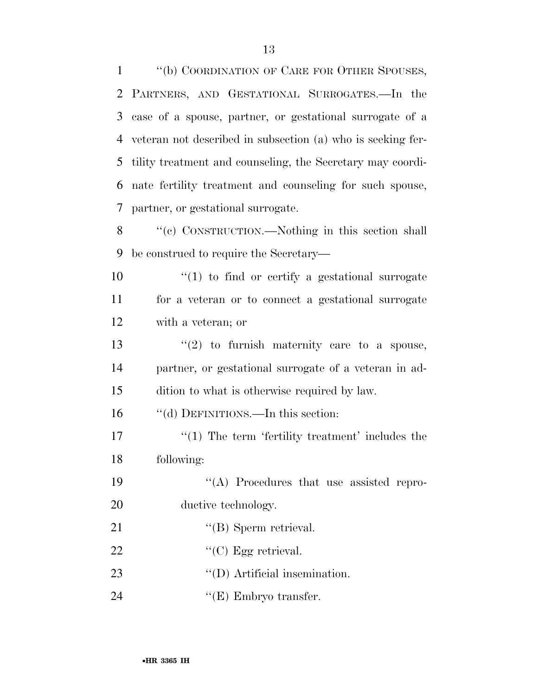''(b) COORDINATION OF CARE FOR OTHER SPOUSES, PARTNERS, AND GESTATIONAL SURROGATES.—In the case of a spouse, partner, or gestational surrogate of a veteran not described in subsection (a) who is seeking fer- tility treatment and counseling, the Secretary may coordi- nate fertility treatment and counseling for such spouse, partner, or gestational surrogate.

 ''(c) CONSTRUCTION.—Nothing in this section shall be construed to require the Secretary—

 ''(1) to find or certify a gestational surrogate for a veteran or to connect a gestational surrogate with a veteran; or

13  $\frac{1}{2}$  to furnish maternity care to a spouse, partner, or gestational surrogate of a veteran in ad-dition to what is otherwise required by law.

16 "(d) DEFINITIONS.—In this section:

17  $\frac{1}{2}$  The term 'fertility treatment' includes the following:

 ''(A) Procedures that use assisted repro-20 ductive technology.

21 ''(B) Sperm retrieval.

- 22 "'(C) Egg retrieval.
- 23  $\text{``(D) Artificial insemination.}$
- 24 ''(E) Embryo transfer.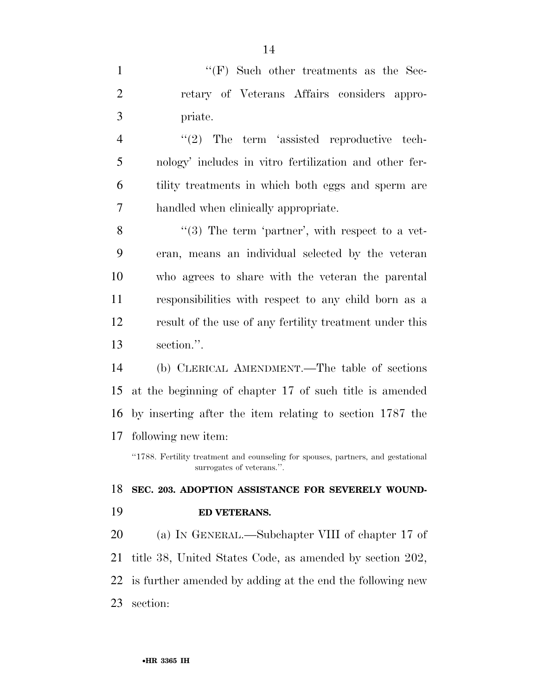1 ''(F) Such other treatments as the Sec- retary of Veterans Affairs considers appro-priate.

4 "(2) The term 'assisted reproductive tech- nology' includes in vitro fertilization and other fer- tility treatments in which both eggs and sperm are handled when clinically appropriate.

8 "(3) The term 'partner', with respect to a vet- eran, means an individual selected by the veteran who agrees to share with the veteran the parental responsibilities with respect to any child born as a result of the use of any fertility treatment under this section.''.

 (b) CLERICAL AMENDMENT.—The table of sections at the beginning of chapter 17 of such title is amended by inserting after the item relating to section 1787 the following new item:

''1788. Fertility treatment and counseling for spouses, partners, and gestational surrogates of veterans.''.

 **SEC. 203. ADOPTION ASSISTANCE FOR SEVERELY WOUND-ED VETERANS.** 

 (a) IN GENERAL.—Subchapter VIII of chapter 17 of title 38, United States Code, as amended by section 202, is further amended by adding at the end the following new section: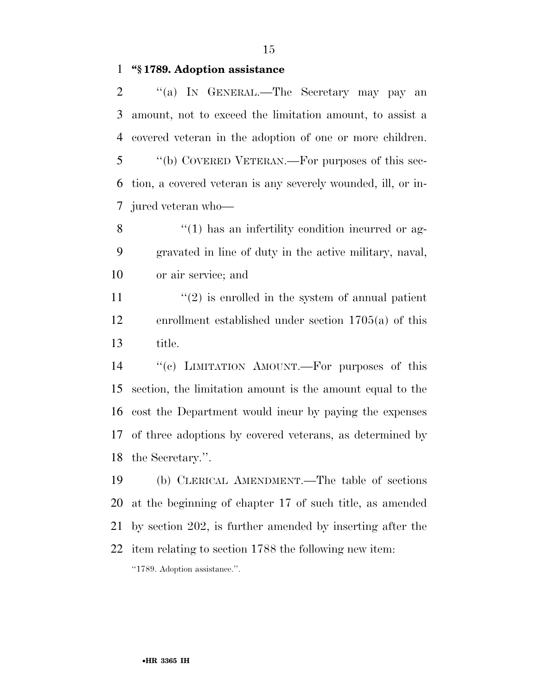**''§ 1789. Adoption assistance** 

2 "(a) IN GENERAL.—The Secretary may pay an amount, not to exceed the limitation amount, to assist a covered veteran in the adoption of one or more children. ''(b) COVERED VETERAN.—For purposes of this sec- tion, a covered veteran is any severely wounded, ill, or in-jured veteran who—

8 ''(1) has an infertility condition incurred or ag- gravated in line of duty in the active military, naval, or air service; and

11  $\frac{u(2)}{2}$  is enrolled in the system of annual patient enrollment established under section 1705(a) of this title.

 ''(c) LIMITATION AMOUNT.—For purposes of this section, the limitation amount is the amount equal to the cost the Department would incur by paying the expenses of three adoptions by covered veterans, as determined by the Secretary.''.

 (b) CLERICAL AMENDMENT.—The table of sections at the beginning of chapter 17 of such title, as amended by section 202, is further amended by inserting after the item relating to section 1788 the following new item: ''1789. Adoption assistance.''.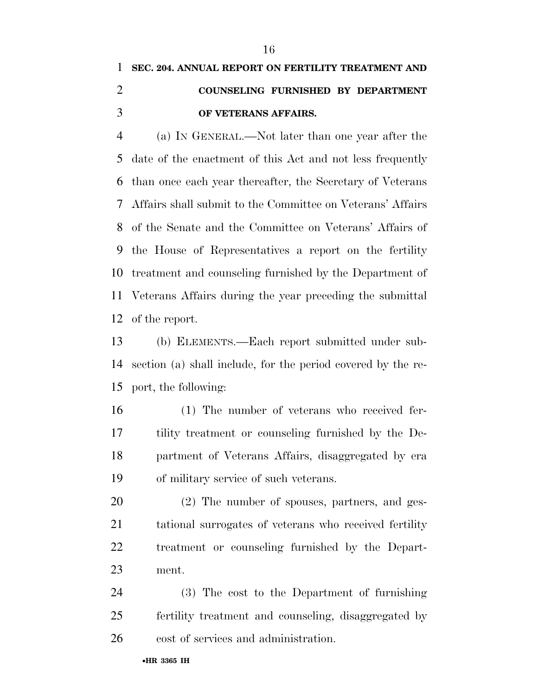# **SEC. 204. ANNUAL REPORT ON FERTILITY TREATMENT AND COUNSELING FURNISHED BY DEPARTMENT OF VETERANS AFFAIRS.**

 (a) IN GENERAL.—Not later than one year after the date of the enactment of this Act and not less frequently than once each year thereafter, the Secretary of Veterans Affairs shall submit to the Committee on Veterans' Affairs of the Senate and the Committee on Veterans' Affairs of the House of Representatives a report on the fertility treatment and counseling furnished by the Department of Veterans Affairs during the year preceding the submittal of the report.

 (b) ELEMENTS.—Each report submitted under sub- section (a) shall include, for the period covered by the re-port, the following:

 (1) The number of veterans who received fer- tility treatment or counseling furnished by the De- partment of Veterans Affairs, disaggregated by era of military service of such veterans.

 (2) The number of spouses, partners, and ges- tational surrogates of veterans who received fertility treatment or counseling furnished by the Depart-ment.

 (3) The cost to the Department of furnishing fertility treatment and counseling, disaggregated by cost of services and administration.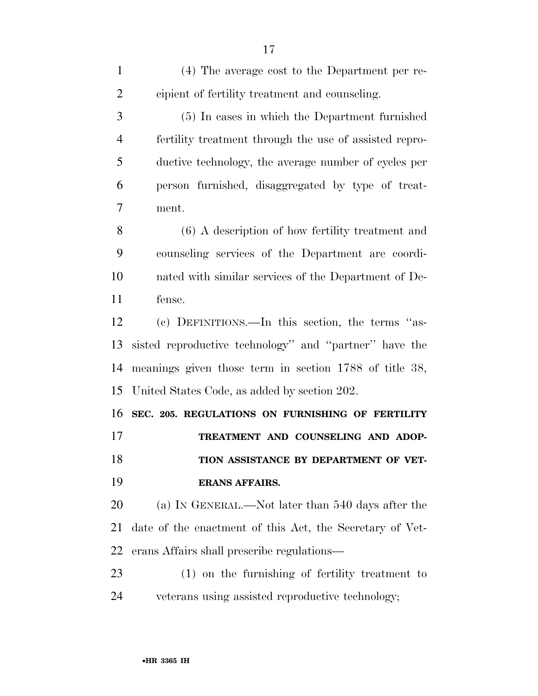(4) The average cost to the Department per re- cipient of fertility treatment and counseling. (5) In cases in which the Department furnished fertility treatment through the use of assisted repro- ductive technology, the average number of cycles per person furnished, disaggregated by type of treat- ment. (6) A description of how fertility treatment and counseling services of the Department are coordi- nated with similar services of the Department of De- fense. (c) DEFINITIONS.—In this section, the terms ''as- sisted reproductive technology'' and ''partner'' have the meanings given those term in section 1788 of title 38, United States Code, as added by section 202. **SEC. 205. REGULATIONS ON FURNISHING OF FERTILITY TREATMENT AND COUNSELING AND ADOP-TION ASSISTANCE BY DEPARTMENT OF VET- ERANS AFFAIRS.**  (a) IN GENERAL.—Not later than 540 days after the date of the enactment of this Act, the Secretary of Vet- erans Affairs shall prescribe regulations— (1) on the furnishing of fertility treatment to veterans using assisted reproductive technology;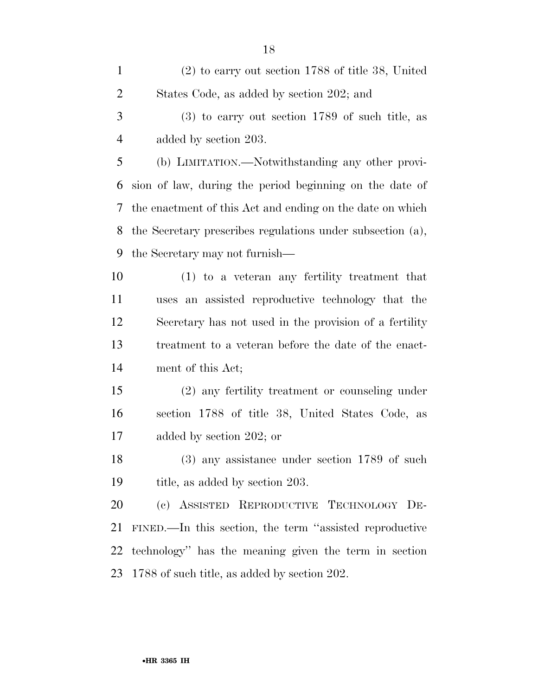| $\mathbf{1}$   | $(2)$ to carry out section 1788 of title 38, United        |
|----------------|------------------------------------------------------------|
| $\overline{2}$ | States Code, as added by section 202; and                  |
| 3              | $(3)$ to carry out section 1789 of such title, as          |
| $\overline{4}$ | added by section 203.                                      |
| 5              | (b) LIMITATION.—Notwithstanding any other provi-           |
| 6              | sion of law, during the period beginning on the date of    |
| 7              | the enactment of this Act and ending on the date on which  |
| 8              | the Secretary prescribes regulations under subsection (a), |
| 9              | the Secretary may not furnish—                             |
| 10             | $(1)$ to a veteran any fertility treatment that            |
| 11             | uses an assisted reproductive technology that the          |
| 12             | Secretary has not used in the provision of a fertility     |
| 13             | treatment to a veteran before the date of the enact-       |
| 14             | ment of this Act;                                          |
| 15             | (2) any fertility treatment or counseling under            |
| 16             | section 1788 of title 38, United States Code, as           |
| 17             | added by section 202; or                                   |
| 18             | $(3)$ any assistance under section 1789 of such            |
| 19             | title, as added by section 203.                            |
| 20             | (c) ASSISTED REPRODUCTIVE TECHNOLOGY DE-                   |
| 21             | FINED.—In this section, the term "assisted reproductive    |
| 22             | technology" has the meaning given the term in section      |
| 23             | 1788 of such title, as added by section 202.               |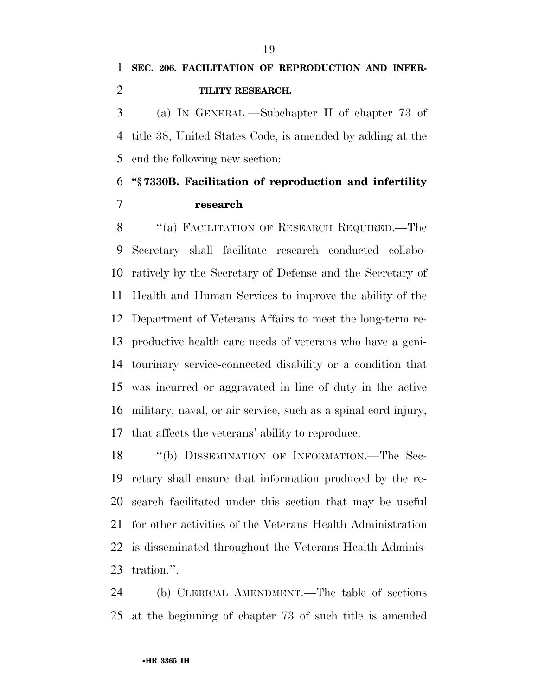(a) IN GENERAL.—Subchapter II of chapter 73 of title 38, United States Code, is amended by adding at the end the following new section:

### **''§ 7330B. Facilitation of reproduction and infertility research**

8 "(a) FACILITATION OF RESEARCH REQUIRED.—The Secretary shall facilitate research conducted collabo- ratively by the Secretary of Defense and the Secretary of Health and Human Services to improve the ability of the Department of Veterans Affairs to meet the long-term re- productive health care needs of veterans who have a geni- tourinary service-connected disability or a condition that was incurred or aggravated in line of duty in the active military, naval, or air service, such as a spinal cord injury, that affects the veterans' ability to reproduce.

18 "(b) DISSEMINATION OF INFORMATION.—The Sec- retary shall ensure that information produced by the re- search facilitated under this section that may be useful for other activities of the Veterans Health Administration is disseminated throughout the Veterans Health Adminis-tration.''.

 (b) CLERICAL AMENDMENT.—The table of sections at the beginning of chapter 73 of such title is amended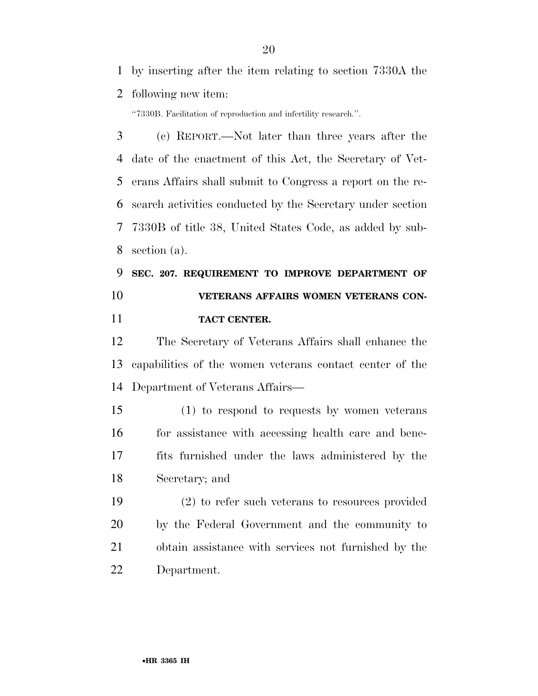by inserting after the item relating to section 7330A the

following new item:

''7330B. Facilitation of reproduction and infertility research.''.

 (c) REPORT.—Not later than three years after the date of the enactment of this Act, the Secretary of Vet- erans Affairs shall submit to Congress a report on the re- search activities conducted by the Secretary under section 7330B of title 38, United States Code, as added by sub-section (a).

## **SEC. 207. REQUIREMENT TO IMPROVE DEPARTMENT OF VETERANS AFFAIRS WOMEN VETERANS CON-TACT CENTER.**

 The Secretary of Veterans Affairs shall enhance the capabilities of the women veterans contact center of the Department of Veterans Affairs—

 (1) to respond to requests by women veterans 16 for assistance with accessing health care and bene- fits furnished under the laws administered by the Secretary; and

 (2) to refer such veterans to resources provided by the Federal Government and the community to obtain assistance with services not furnished by the Department.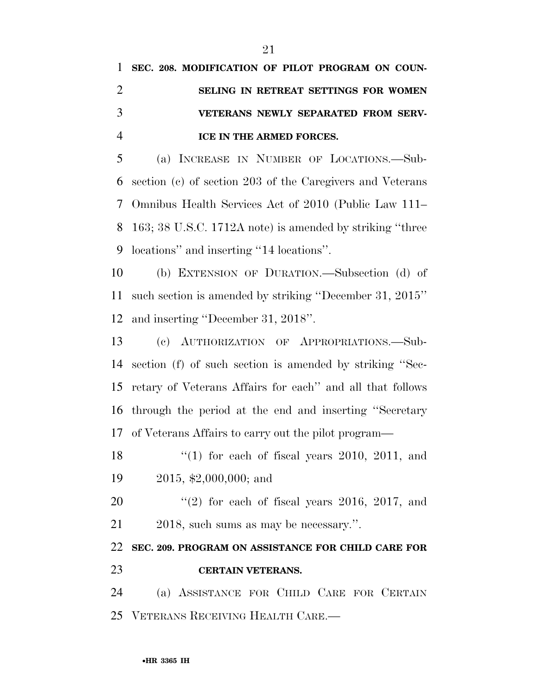|                | 1 SEC. 208. MODIFICATION OF PILOT PROGRAM ON COUN- |
|----------------|----------------------------------------------------|
| $\overline{2}$ | SELING IN RETREAT SETTINGS FOR WOMEN               |
| 3              | VETERANS NEWLY SEPARATED FROM SERV-                |
| $\overline{4}$ | <b>ICE IN THE ARMED FORCES.</b>                    |

 (a) INCREASE IN NUMBER OF LOCATIONS.—Sub- section (c) of section 203 of the Caregivers and Veterans Omnibus Health Services Act of 2010 (Public Law 111– 163; 38 U.S.C. 1712A note) is amended by striking ''three locations'' and inserting ''14 locations''.

 (b) EXTENSION OF DURATION.—Subsection (d) of such section is amended by striking ''December 31, 2015'' and inserting ''December 31, 2018''.

 (c) AUTHORIZATION OF APPROPRIATIONS.—Sub- section (f) of such section is amended by striking ''Sec- retary of Veterans Affairs for each'' and all that follows through the period at the end and inserting ''Secretary of Veterans Affairs to carry out the pilot program—

18  $\frac{1}{2}$  (1) for each of fiscal years 2010, 2011, and 2015, \$2,000,000; and

 ''(2) for each of fiscal years 2016, 2017, and 2018, such sums as may be necessary.''.

 **SEC. 209. PROGRAM ON ASSISTANCE FOR CHILD CARE FOR CERTAIN VETERANS.** 

 (a) ASSISTANCE FOR CHILD CARE FOR CERTAIN VETERANS RECEIVING HEALTH CARE.—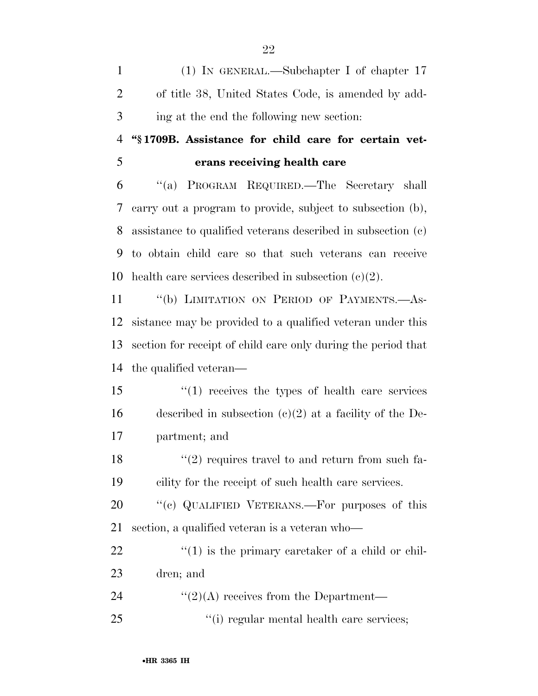(1) IN GENERAL.—Subchapter I of chapter 17 of title 38, United States Code, is amended by add-ing at the end the following new section:

### **''§ 1709B. Assistance for child care for certain vet-erans receiving health care**

 ''(a) PROGRAM REQUIRED.—The Secretary shall carry out a program to provide, subject to subsection (b), assistance to qualified veterans described in subsection (c) to obtain child care so that such veterans can receive 10 health care services described in subsection  $(c)(2)$ .

 ''(b) LIMITATION ON PERIOD OF PAYMENTS.—As- sistance may be provided to a qualified veteran under this section for receipt of child care only during the period that the qualified veteran—

 ''(1) receives the types of health care services 16 described in subsection  $(c)(2)$  at a facility of the De-partment; and

18  $\frac{1}{2}$  requires travel to and return from such fa-cility for the receipt of such health care services.

20 "(c) QUALIFIED VETERANS.—For purposes of this section, a qualified veteran is a veteran who—

22  $\frac{1}{2}$  (1) is the primary caretaker of a child or chil-dren; and

24  $\frac{1}{2}(2)(A)$  receives from the Department—

25  $\frac{1}{25}$  ''(i) regular mental health care services;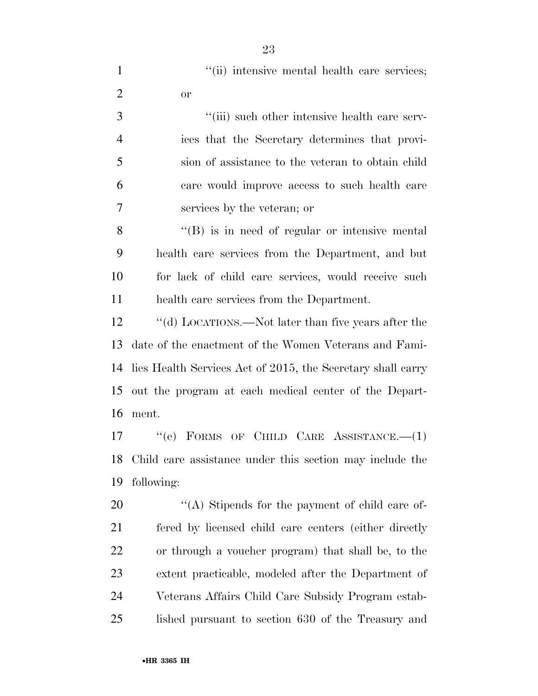| $\mathbf{1}$   | "(ii) intensive mental health care services;                |
|----------------|-------------------------------------------------------------|
| $\overline{2}$ | <b>or</b>                                                   |
| 3              | "(iii) such other intensive health care serv-               |
| $\overline{4}$ | ices that the Secretary determines that provi-              |
| 5              | sion of assistance to the veteran to obtain child           |
| 6              | care would improve access to such health care               |
| $\overline{7}$ | services by the veteran; or                                 |
| 8              | $\lq\lq (B)$ is in need of regular or intensive mental      |
| 9              | health care services from the Department, and but           |
| 10             | for lack of child care services, would receive such         |
| 11             | health care services from the Department.                   |
| 12             | "(d) LOCATIONS.—Not later than five years after the         |
| 13             | date of the enactment of the Women Veterans and Fami-       |
| 14             | lies Health Services Act of 2015, the Secretary shall carry |
| 15             | out the program at each medical center of the Depart-       |
| 16             | ment.                                                       |
| 17             | FORMS OF CHILD CARE ASSISTANCE. $-(1)$<br>``(e)             |
| 18             | Child care assistance under this section may include the    |
| 19             | following:                                                  |

20 ''(A) Stipends for the payment of child care of- fered by licensed child care centers (either directly or through a voucher program) that shall be, to the extent practicable, modeled after the Department of Veterans Affairs Child Care Subsidy Program estab-lished pursuant to section 630 of the Treasury and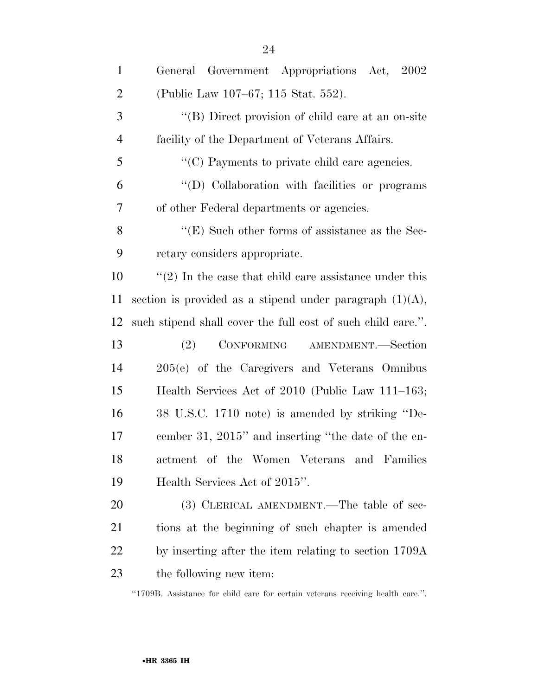| $\mathbf{1}$   | General Government Appropriations Act, 2002                  |
|----------------|--------------------------------------------------------------|
| $\overline{2}$ | (Public Law 107–67; 115 Stat. 552).                          |
| 3              | "(B) Direct provision of child care at an on-site            |
| $\overline{4}$ | facility of the Department of Veterans Affairs.              |
| 5              | "(C) Payments to private child care agencies.                |
| 6              | "(D) Collaboration with facilities or programs               |
| 7              | of other Federal departments or agencies.                    |
| 8              | $\lq\lq$ (E) Such other forms of assistance as the Sec-      |
| 9              | retary considers appropriate.                                |
| 10             | $\lq(2)$ In the case that child care assistance under this   |
| 11             | section is provided as a stipend under paragraph $(1)(A)$ ,  |
| 12             | such stipend shall cover the full cost of such child care.". |
| 13             | (2)<br>CONFORMING AMENDMENT.—Section                         |
| 14             | 205(e) of the Caregivers and Veterans Omnibus                |
| 15             | Health Services Act of 2010 (Public Law 111–163;             |
| 16             | 38 U.S.C. 1710 note) is amended by striking "De-             |
| 17             | cember 31, 2015" and inserting "the date of the en-          |
| 18             | actment of the Women Veterans<br>and<br>Families             |
| 19             | Health Services Act of 2015".                                |
| 20             | (3) CLERICAL AMENDMENT.—The table of sec-                    |
| 21             | tions at the beginning of such chapter is amended            |
| 22             | by inserting after the item relating to section 1709A        |
| 23             | the following new item:                                      |

''1709B. Assistance for child care for certain veterans receiving health care.''.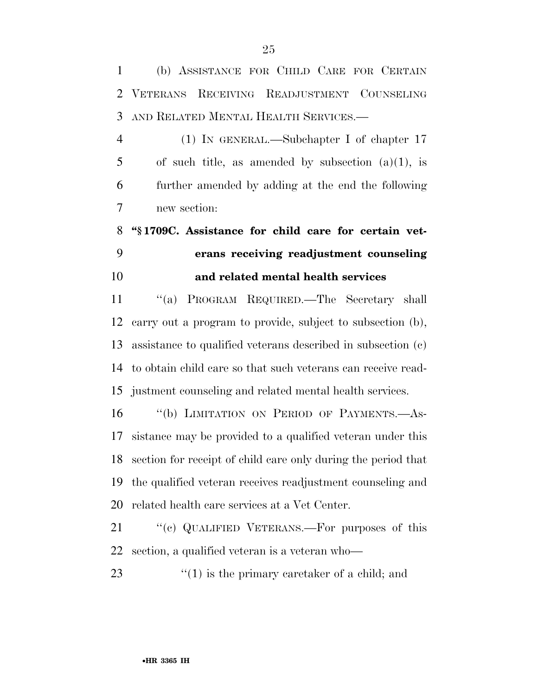(b) ASSISTANCE FOR CHILD CARE FOR CERTAIN VETERANS RECEIVING READJUSTMENT COUNSELING AND RELATED MENTAL HEALTH SERVICES.—

 (1) IN GENERAL.—Subchapter I of chapter 17 5 of such title, as amended by subsection  $(a)(1)$ , is further amended by adding at the end the following new section:

# **''§ 1709C. Assistance for child care for certain vet- erans receiving readjustment counseling and related mental health services**

 ''(a) PROGRAM REQUIRED.—The Secretary shall carry out a program to provide, subject to subsection (b), assistance to qualified veterans described in subsection (c) to obtain child care so that such veterans can receive read-justment counseling and related mental health services.

 ''(b) LIMITATION ON PERIOD OF PAYMENTS.—As- sistance may be provided to a qualified veteran under this section for receipt of child care only during the period that the qualified veteran receives readjustment counseling and related health care services at a Vet Center.

21 "(c) QUALIFIED VETERANS.—For purposes of this section, a qualified veteran is a veteran who—

23  $\frac{1}{2}$  (1) is the primary caretaker of a child; and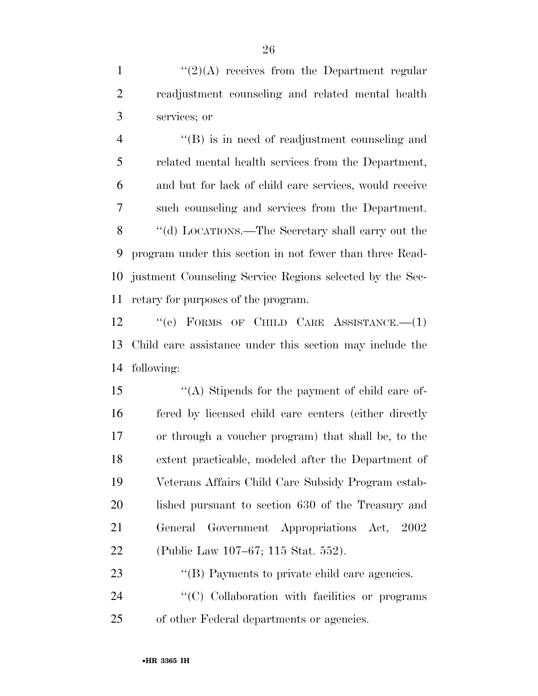1  $\frac{1}{2}(2)$  (A) receives from the Department regular readjustment counseling and related mental health services; or

 ''(B) is in need of readjustment counseling and related mental health services from the Department, and but for lack of child care services, would receive such counseling and services from the Department. ''(d) LOCATIONS.—The Secretary shall carry out the program under this section in not fewer than three Read- justment Counseling Service Regions selected by the Sec-retary for purposes of the program.

12 "(e) FORMS OF CHILD CARE ASSISTANCE. - (1) Child care assistance under this section may include the following:

 ''(A) Stipends for the payment of child care of- fered by licensed child care centers (either directly or through a voucher program) that shall be, to the extent practicable, modeled after the Department of Veterans Affairs Child Care Subsidy Program estab- lished pursuant to section 630 of the Treasury and General Government Appropriations Act, 2002 (Public Law 107–67; 115 Stat. 552).

23 "(B) Payments to private child care agencies. 24  $\langle ^{\prime}(C) \rangle$  Collaboration with facilities or programs of other Federal departments or agencies.